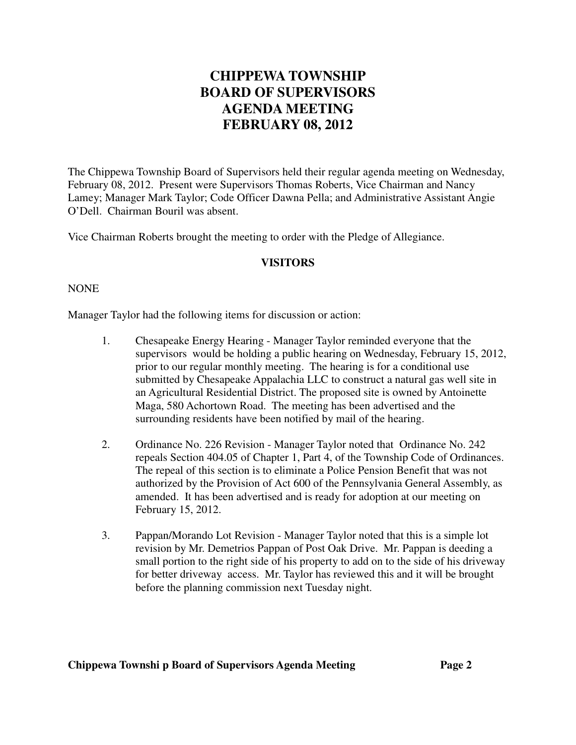# **CHIPPEWA TOWNSHIP BOARD OF SUPERVISORS AGENDA MEETING FEBRUARY 08, 2012**

The Chippewa Township Board of Supervisors held their regular agenda meeting on Wednesday, February 08, 2012. Present were Supervisors Thomas Roberts, Vice Chairman and Nancy Lamey; Manager Mark Taylor; Code Officer Dawna Pella; and Administrative Assistant Angie O'Dell. Chairman Bouril was absent.

Vice Chairman Roberts brought the meeting to order with the Pledge of Allegiance.

### **VISITORS**

#### NONE

Manager Taylor had the following items for discussion or action:

- 1. Chesapeake Energy Hearing Manager Taylor reminded everyone that the supervisors would be holding a public hearing on Wednesday, February 15, 2012, prior to our regular monthly meeting. The hearing is for a conditional use submitted by Chesapeake Appalachia LLC to construct a natural gas well site in an Agricultural Residential District. The proposed site is owned by Antoinette Maga, 580 Achortown Road. The meeting has been advertised and the surrounding residents have been notified by mail of the hearing.
- 2. Ordinance No. 226 Revision Manager Taylor noted that Ordinance No. 242 repeals Section 404.05 of Chapter 1, Part 4, of the Township Code of Ordinances. The repeal of this section is to eliminate a Police Pension Benefit that was not authorized by the Provision of Act 600 of the Pennsylvania General Assembly, as amended. It has been advertised and is ready for adoption at our meeting on February 15, 2012.
- 3. Pappan/Morando Lot Revision Manager Taylor noted that this is a simple lot revision by Mr. Demetrios Pappan of Post Oak Drive. Mr. Pappan is deeding a small portion to the right side of his property to add on to the side of his driveway for better driveway access. Mr. Taylor has reviewed this and it will be brought before the planning commission next Tuesday night.